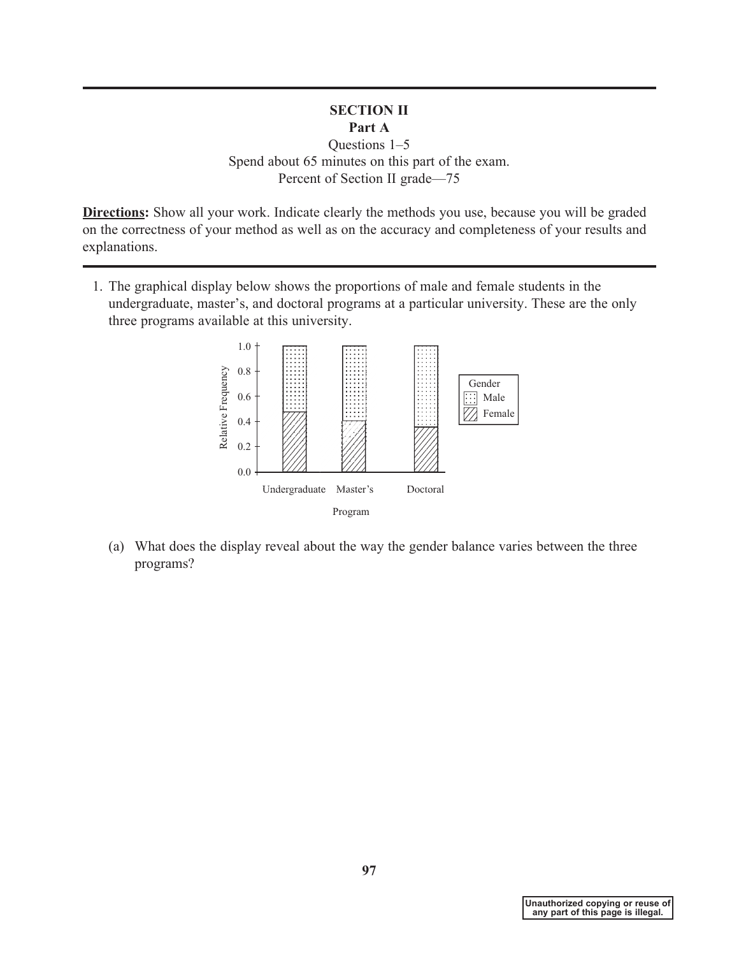## **SECTION II Part A**

Questions 1–5 Spend about 65 minutes on this part of the exam. Percent of Section II grade—75

**Directions:** Show all your work. Indicate clearly the methods you use, because you will be graded on the correctness of your method as well as on the accuracy and completeness of your results and explanations.

1. The graphical display below shows the proportions of male and female students in the undergraduate, master's, and doctoral programs at a particular university. These are the only three programs available at this university.



(a) What does the display reveal about the way the gender balance varies between the three programs?